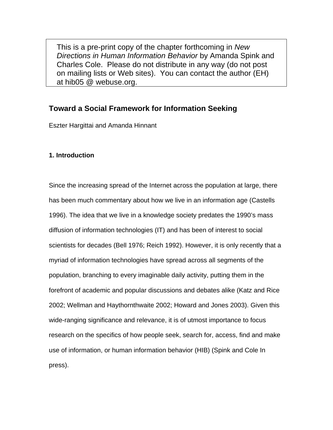This is a pre-print copy of the chapter forthcoming in *New Directions in Human Information Behavior* by Amanda Spink and Charles Cole. Please do not distribute in any way (do not post on mailing lists or Web sites). You can contact the author (EH) at hib05 @ webuse.org.

# **Toward a Social Framework for Information Seeking**

Eszter Hargittai and Amanda Hinnant

## **1. Introduction**

Since the increasing spread of the Internet across the population at large, there has been much commentary about how we live in an information age (Castells 1996). The idea that we live in a knowledge society predates the 1990's mass diffusion of information technologies (IT) and has been of interest to social scientists for decades (Bell 1976; Reich 1992). However, it is only recently that a myriad of information technologies have spread across all segments of the population, branching to every imaginable daily activity, putting them in the forefront of academic and popular discussions and debates alike (Katz and Rice 2002; Wellman and Haythornthwaite 2002; Howard and Jones 2003). Given this wide-ranging significance and relevance, it is of utmost importance to focus research on the specifics of how people seek, search for, access, find and make use of information, or human information behavior (HIB) (Spink and Cole In press).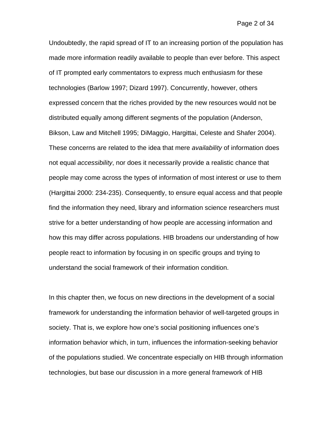#### Page 2 of 34

Undoubtedly, the rapid spread of IT to an increasing portion of the population has made more information readily available to people than ever before. This aspect of IT prompted early commentators to express much enthusiasm for these technologies (Barlow 1997; Dizard 1997). Concurrently, however, others expressed concern that the riches provided by the new resources would not be distributed equally among different segments of the population (Anderson, Bikson, Law and Mitchell 1995; DiMaggio, Hargittai, Celeste and Shafer 2004). These concerns are related to the idea that mere *availability* of information does not equal *accessibility*, nor does it necessarily provide a realistic chance that people may come across the types of information of most interest or use to them (Hargittai 2000: 234-235). Consequently, to ensure equal access and that people find the information they need, library and information science researchers must strive for a better understanding of how people are accessing information and how this may differ across populations. HIB broadens our understanding of how people react to information by focusing in on specific groups and trying to understand the social framework of their information condition.

In this chapter then, we focus on new directions in the development of a social framework for understanding the information behavior of well-targeted groups in society. That is, we explore how one's social positioning influences one's information behavior which, in turn, influences the information-seeking behavior of the populations studied. We concentrate especially on HIB through information technologies, but base our discussion in a more general framework of HIB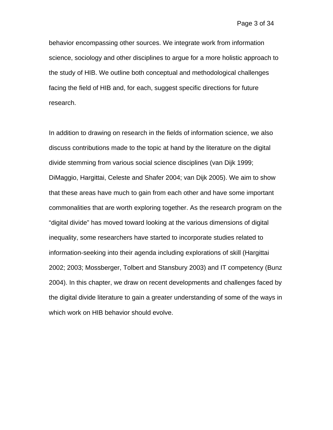behavior encompassing other sources. We integrate work from information science, sociology and other disciplines to argue for a more holistic approach to the study of HIB. We outline both conceptual and methodological challenges facing the field of HIB and, for each, suggest specific directions for future research.

In addition to drawing on research in the fields of information science, we also discuss contributions made to the topic at hand by the literature on the digital divide stemming from various social science disciplines (van Dijk 1999; DiMaggio, Hargittai, Celeste and Shafer 2004; van Dijk 2005). We aim to show that these areas have much to gain from each other and have some important commonalities that are worth exploring together. As the research program on the "digital divide" has moved toward looking at the various dimensions of digital inequality, some researchers have started to incorporate studies related to information-seeking into their agenda including explorations of skill (Hargittai 2002; 2003; Mossberger, Tolbert and Stansbury 2003) and IT competency (Bunz 2004). In this chapter, we draw on recent developments and challenges faced by the digital divide literature to gain a greater understanding of some of the ways in which work on HIB behavior should evolve.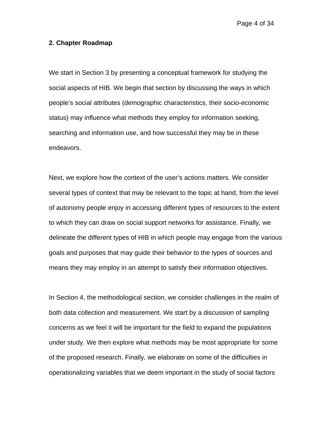Page 4 of 34

#### **2. Chapter Roadmap**

We start in Section 3 by presenting a conceptual framework for studying the social aspects of HIB. We begin that section by discussing the ways in which people's social attributes (demographic characteristics, their socio-economic status) may influence what methods they employ for information seeking, searching and information use, and how successful they may be in these endeavors.

Next, we explore how the context of the user's actions matters. We consider several types of context that may be relevant to the topic at hand, from the level of autonomy people enjoy in accessing different types of resources to the extent to which they can draw on social support networks for assistance. Finally, we delineate the different types of HIB in which people may engage from the various goals and purposes that may guide their behavior to the types of sources and means they may employ in an attempt to satisfy their information objectives.

In Section 4, the methodological section, we consider challenges in the realm of both data collection and measurement. We start by a discussion of sampling concerns as we feel it will be important for the field to expand the populations under study. We then explore what methods may be most appropriate for some of the proposed research. Finally, we elaborate on some of the difficulties in operationalizing variables that we deem important in the study of social factors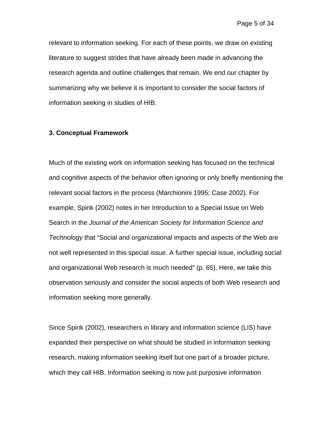relevant to information seeking. For each of these points, we draw on existing literature to suggest strides that have already been made in advancing the research agenda and outline challenges that remain. We end our chapter by summarizing why we believe it is important to consider the social factors of information seeking in studies of HIB.

#### **3. Conceptual Framework**

Much of the existing work on information seeking has focused on the technical and cognitive aspects of the behavior often ignoring or only briefly mentioning the relevant social factors in the process (Marchionini 1995; Case 2002). For example, Spink (2002) notes in her Introduction to a Special Issue on Web Search in the *Journal of the American Society for Information Science and Technology* that "Social and organizational impacts and aspects of the Web are not well represented in this special issue. A further special issue, including social and organizational Web research is much needed" (p. 65). Here, we take this observation seriously and consider the social aspects of both Web research and information seeking more generally.

Since Spink (2002), researchers in library and information science (LIS) have expanded their perspective on what should be studied in information seeking research, making information seeking itself but one part of a broader picture, which they call HIB. Information seeking is now just purposive information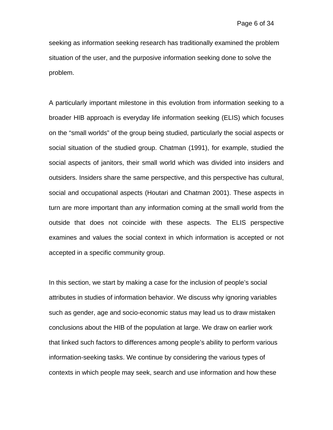seeking as information seeking research has traditionally examined the problem situation of the user, and the purposive information seeking done to solve the problem.

A particularly important milestone in this evolution from information seeking to a broader HIB approach is everyday life information seeking (ELIS) which focuses on the "small worlds" of the group being studied, particularly the social aspects or social situation of the studied group. Chatman (1991), for example, studied the social aspects of janitors, their small world which was divided into insiders and outsiders. Insiders share the same perspective, and this perspective has cultural, social and occupational aspects (Houtari and Chatman 2001). These aspects in turn are more important than any information coming at the small world from the outside that does not coincide with these aspects. The ELIS perspective examines and values the social context in which information is accepted or not accepted in a specific community group.

In this section, we start by making a case for the inclusion of people's social attributes in studies of information behavior. We discuss why ignoring variables such as gender, age and socio-economic status may lead us to draw mistaken conclusions about the HIB of the population at large. We draw on earlier work that linked such factors to differences among people's ability to perform various information-seeking tasks. We continue by considering the various types of contexts in which people may seek, search and use information and how these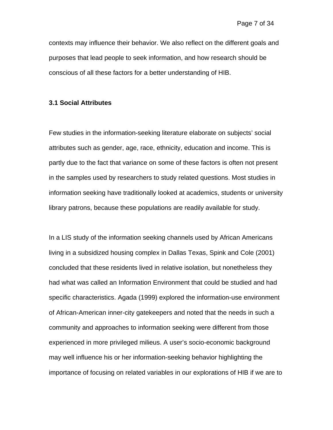contexts may influence their behavior. We also reflect on the different goals and purposes that lead people to seek information, and how research should be conscious of all these factors for a better understanding of HIB.

#### **3.1 Social Attributes**

Few studies in the information-seeking literature elaborate on subjects' social attributes such as gender, age, race, ethnicity, education and income. This is partly due to the fact that variance on some of these factors is often not present in the samples used by researchers to study related questions. Most studies in information seeking have traditionally looked at academics, students or university library patrons, because these populations are readily available for study.

In a LIS study of the information seeking channels used by African Americans living in a subsidized housing complex in Dallas Texas, Spink and Cole (2001) concluded that these residents lived in relative isolation, but nonetheless they had what was called an Information Environment that could be studied and had specific characteristics. Agada (1999) explored the information-use environment of African-American inner-city gatekeepers and noted that the needs in such a community and approaches to information seeking were different from those experienced in more privileged milieus. A user's socio-economic background may well influence his or her information-seeking behavior highlighting the importance of focusing on related variables in our explorations of HIB if we are to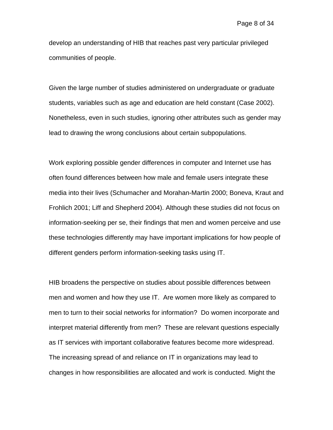develop an understanding of HIB that reaches past very particular privileged communities of people.

Given the large number of studies administered on undergraduate or graduate students, variables such as age and education are held constant (Case 2002). Nonetheless, even in such studies, ignoring other attributes such as gender may lead to drawing the wrong conclusions about certain subpopulations.

Work exploring possible gender differences in computer and Internet use has often found differences between how male and female users integrate these media into their lives (Schumacher and Morahan-Martin 2000; Boneva, Kraut and Frohlich 2001; Liff and Shepherd 2004). Although these studies did not focus on information-seeking per se, their findings that men and women perceive and use these technologies differently may have important implications for how people of different genders perform information-seeking tasks using IT.

HIB broadens the perspective on studies about possible differences between men and women and how they use IT. Are women more likely as compared to men to turn to their social networks for information? Do women incorporate and interpret material differently from men? These are relevant questions especially as IT services with important collaborative features become more widespread. The increasing spread of and reliance on IT in organizations may lead to changes in how responsibilities are allocated and work is conducted. Might the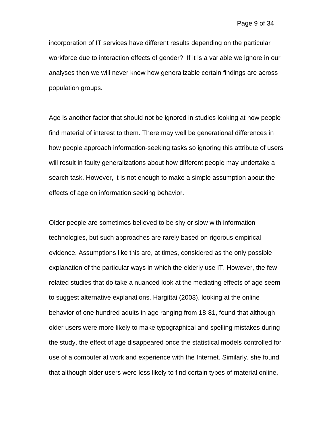incorporation of IT services have different results depending on the particular workforce due to interaction effects of gender? If it is a variable we ignore in our analyses then we will never know how generalizable certain findings are across population groups.

Age is another factor that should not be ignored in studies looking at how people find material of interest to them. There may well be generational differences in how people approach information-seeking tasks so ignoring this attribute of users will result in faulty generalizations about how different people may undertake a search task. However, it is not enough to make a simple assumption about the effects of age on information seeking behavior.

Older people are sometimes believed to be shy or slow with information technologies, but such approaches are rarely based on rigorous empirical evidence. Assumptions like this are, at times, considered as the only possible explanation of the particular ways in which the elderly use IT. However, the few related studies that do take a nuanced look at the mediating effects of age seem to suggest alternative explanations. Hargittai (2003), looking at the online behavior of one hundred adults in age ranging from 18-81, found that although older users were more likely to make typographical and spelling mistakes during the study, the effect of age disappeared once the statistical models controlled for use of a computer at work and experience with the Internet. Similarly, she found that although older users were less likely to find certain types of material online,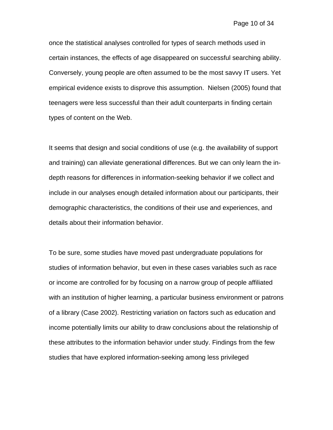once the statistical analyses controlled for types of search methods used in certain instances, the effects of age disappeared on successful searching ability. Conversely, young people are often assumed to be the most savvy IT users. Yet empirical evidence exists to disprove this assumption. Nielsen (2005) found that teenagers were less successful than their adult counterparts in finding certain types of content on the Web.

It seems that design and social conditions of use (e.g. the availability of support and training) can alleviate generational differences. But we can only learn the indepth reasons for differences in information-seeking behavior if we collect and include in our analyses enough detailed information about our participants, their demographic characteristics, the conditions of their use and experiences, and details about their information behavior.

To be sure, some studies have moved past undergraduate populations for studies of information behavior, but even in these cases variables such as race or income are controlled for by focusing on a narrow group of people affiliated with an institution of higher learning, a particular business environment or patrons of a library (Case 2002). Restricting variation on factors such as education and income potentially limits our ability to draw conclusions about the relationship of these attributes to the information behavior under study. Findings from the few studies that have explored information-seeking among less privileged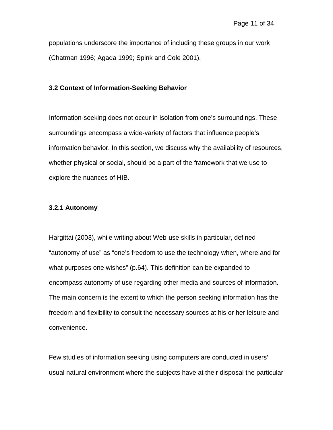populations underscore the importance of including these groups in our work (Chatman 1996; Agada 1999; Spink and Cole 2001).

## **3.2 Context of Information-Seeking Behavior**

Information-seeking does not occur in isolation from one's surroundings. These surroundings encompass a wide-variety of factors that influence people's information behavior. In this section, we discuss why the availability of resources, whether physical or social, should be a part of the framework that we use to explore the nuances of HIB.

## **3.2.1 Autonomy**

Hargittai (2003), while writing about Web-use skills in particular, defined "autonomy of use" as "one's freedom to use the technology when, where and for what purposes one wishes" (p.64). This definition can be expanded to encompass autonomy of use regarding other media and sources of information. The main concern is the extent to which the person seeking information has the freedom and flexibility to consult the necessary sources at his or her leisure and convenience.

Few studies of information seeking using computers are conducted in users' usual natural environment where the subjects have at their disposal the particular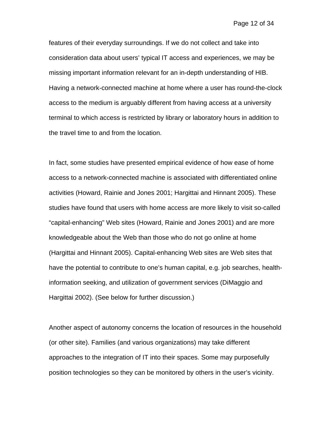features of their everyday surroundings. If we do not collect and take into consideration data about users' typical IT access and experiences, we may be missing important information relevant for an in-depth understanding of HIB. Having a network-connected machine at home where a user has round-the-clock access to the medium is arguably different from having access at a university terminal to which access is restricted by library or laboratory hours in addition to the travel time to and from the location.

In fact, some studies have presented empirical evidence of how ease of home access to a network-connected machine is associated with differentiated online activities (Howard, Rainie and Jones 2001; Hargittai and Hinnant 2005). These studies have found that users with home access are more likely to visit so-called "capital-enhancing" Web sites (Howard, Rainie and Jones 2001) and are more knowledgeable about the Web than those who do not go online at home (Hargittai and Hinnant 2005). Capital-enhancing Web sites are Web sites that have the potential to contribute to one's human capital, e.g. job searches, healthinformation seeking, and utilization of government services (DiMaggio and Hargittai 2002). (See below for further discussion.)

Another aspect of autonomy concerns the location of resources in the household (or other site). Families (and various organizations) may take different approaches to the integration of IT into their spaces. Some may purposefully position technologies so they can be monitored by others in the user's vicinity.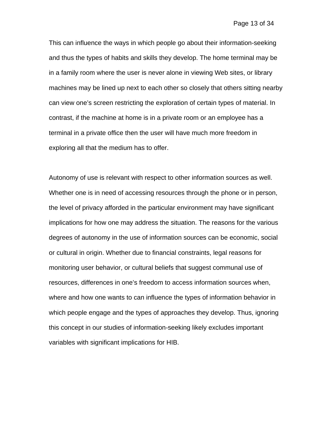This can influence the ways in which people go about their information-seeking and thus the types of habits and skills they develop. The home terminal may be in a family room where the user is never alone in viewing Web sites, or library machines may be lined up next to each other so closely that others sitting nearby can view one's screen restricting the exploration of certain types of material. In contrast, if the machine at home is in a private room or an employee has a terminal in a private office then the user will have much more freedom in exploring all that the medium has to offer.

Autonomy of use is relevant with respect to other information sources as well. Whether one is in need of accessing resources through the phone or in person, the level of privacy afforded in the particular environment may have significant implications for how one may address the situation. The reasons for the various degrees of autonomy in the use of information sources can be economic, social or cultural in origin. Whether due to financial constraints, legal reasons for monitoring user behavior, or cultural beliefs that suggest communal use of resources, differences in one's freedom to access information sources when, where and how one wants to can influence the types of information behavior in which people engage and the types of approaches they develop. Thus, ignoring this concept in our studies of information-seeking likely excludes important variables with significant implications for HIB.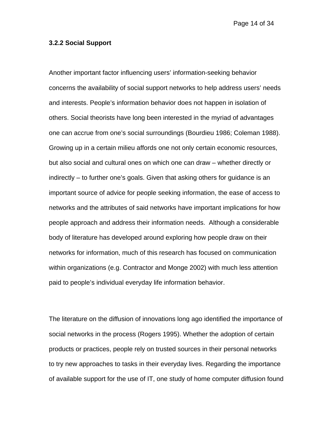Page 14 of 34

#### **3.2.2 Social Support**

Another important factor influencing users' information-seeking behavior concerns the availability of social support networks to help address users' needs and interests. People's information behavior does not happen in isolation of others. Social theorists have long been interested in the myriad of advantages one can accrue from one's social surroundings (Bourdieu 1986; Coleman 1988). Growing up in a certain milieu affords one not only certain economic resources, but also social and cultural ones on which one can draw – whether directly or indirectly – to further one's goals. Given that asking others for guidance is an important source of advice for people seeking information, the ease of access to networks and the attributes of said networks have important implications for how people approach and address their information needs. Although a considerable body of literature has developed around exploring how people draw on their networks for information, much of this research has focused on communication within organizations (e.g. Contractor and Monge 2002) with much less attention paid to people's individual everyday life information behavior.

The literature on the diffusion of innovations long ago identified the importance of social networks in the process (Rogers 1995). Whether the adoption of certain products or practices, people rely on trusted sources in their personal networks to try new approaches to tasks in their everyday lives. Regarding the importance of available support for the use of IT, one study of home computer diffusion found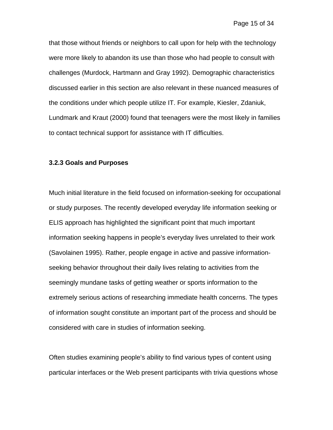that those without friends or neighbors to call upon for help with the technology were more likely to abandon its use than those who had people to consult with challenges (Murdock, Hartmann and Gray 1992). Demographic characteristics discussed earlier in this section are also relevant in these nuanced measures of the conditions under which people utilize IT. For example, Kiesler, Zdaniuk, Lundmark and Kraut (2000) found that teenagers were the most likely in families to contact technical support for assistance with IT difficulties.

#### **3.2.3 Goals and Purposes**

Much initial literature in the field focused on information-seeking for occupational or study purposes. The recently developed everyday life information seeking or ELIS approach has highlighted the significant point that much important information seeking happens in people's everyday lives unrelated to their work (Savolainen 1995). Rather, people engage in active and passive informationseeking behavior throughout their daily lives relating to activities from the seemingly mundane tasks of getting weather or sports information to the extremely serious actions of researching immediate health concerns. The types of information sought constitute an important part of the process and should be considered with care in studies of information seeking.

Often studies examining people's ability to find various types of content using particular interfaces or the Web present participants with trivia questions whose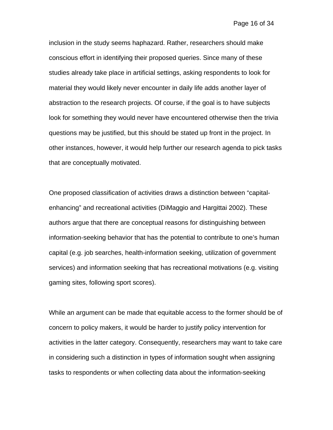inclusion in the study seems haphazard. Rather, researchers should make conscious effort in identifying their proposed queries. Since many of these studies already take place in artificial settings, asking respondents to look for material they would likely never encounter in daily life adds another layer of abstraction to the research projects. Of course, if the goal is to have subjects look for something they would never have encountered otherwise then the trivia questions may be justified, but this should be stated up front in the project. In other instances, however, it would help further our research agenda to pick tasks that are conceptually motivated.

One proposed classification of activities draws a distinction between "capitalenhancing" and recreational activities (DiMaggio and Hargittai 2002). These authors argue that there are conceptual reasons for distinguishing between information-seeking behavior that has the potential to contribute to one's human capital (e.g. job searches, health-information seeking, utilization of government services) and information seeking that has recreational motivations (e.g. visiting gaming sites, following sport scores).

While an argument can be made that equitable access to the former should be of concern to policy makers, it would be harder to justify policy intervention for activities in the latter category. Consequently, researchers may want to take care in considering such a distinction in types of information sought when assigning tasks to respondents or when collecting data about the information-seeking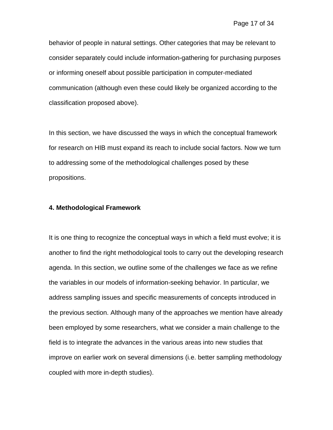behavior of people in natural settings. Other categories that may be relevant to consider separately could include information-gathering for purchasing purposes or informing oneself about possible participation in computer-mediated communication (although even these could likely be organized according to the classification proposed above).

In this section, we have discussed the ways in which the conceptual framework for research on HIB must expand its reach to include social factors. Now we turn to addressing some of the methodological challenges posed by these propositions.

#### **4. Methodological Framework**

It is one thing to recognize the conceptual ways in which a field must evolve; it is another to find the right methodological tools to carry out the developing research agenda. In this section, we outline some of the challenges we face as we refine the variables in our models of information-seeking behavior. In particular, we address sampling issues and specific measurements of concepts introduced in the previous section. Although many of the approaches we mention have already been employed by some researchers, what we consider a main challenge to the field is to integrate the advances in the various areas into new studies that improve on earlier work on several dimensions (i.e. better sampling methodology coupled with more in-depth studies).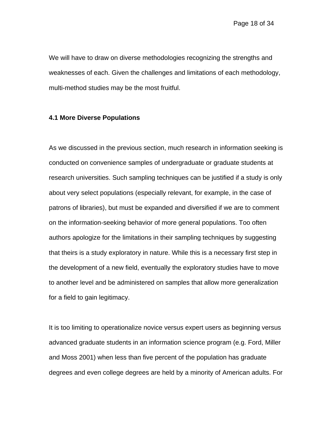We will have to draw on diverse methodologies recognizing the strengths and weaknesses of each. Given the challenges and limitations of each methodology, multi-method studies may be the most fruitful.

#### **4.1 More Diverse Populations**

As we discussed in the previous section, much research in information seeking is conducted on convenience samples of undergraduate or graduate students at research universities. Such sampling techniques can be justified if a study is only about very select populations (especially relevant, for example, in the case of patrons of libraries), but must be expanded and diversified if we are to comment on the information-seeking behavior of more general populations. Too often authors apologize for the limitations in their sampling techniques by suggesting that theirs is a study exploratory in nature. While this is a necessary first step in the development of a new field, eventually the exploratory studies have to move to another level and be administered on samples that allow more generalization for a field to gain legitimacy.

It is too limiting to operationalize novice versus expert users as beginning versus advanced graduate students in an information science program (e.g. Ford, Miller and Moss 2001) when less than five percent of the population has graduate degrees and even college degrees are held by a minority of American adults. For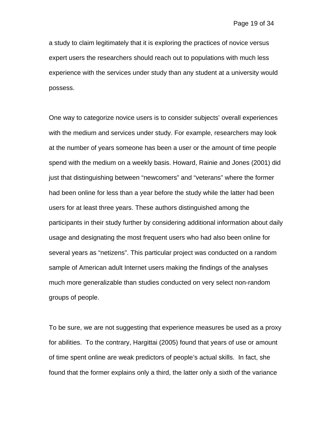a study to claim legitimately that it is exploring the practices of novice versus expert users the researchers should reach out to populations with much less experience with the services under study than any student at a university would possess.

One way to categorize novice users is to consider subjects' overall experiences with the medium and services under study. For example, researchers may look at the number of years someone has been a user or the amount of time people spend with the medium on a weekly basis. Howard, Rainie and Jones (2001) did just that distinguishing between "newcomers" and "veterans" where the former had been online for less than a year before the study while the latter had been users for at least three years. These authors distinguished among the participants in their study further by considering additional information about daily usage and designating the most frequent users who had also been online for several years as "netizens". This particular project was conducted on a random sample of American adult Internet users making the findings of the analyses much more generalizable than studies conducted on very select non-random groups of people.

To be sure, we are not suggesting that experience measures be used as a proxy for abilities. To the contrary, Hargittai (2005) found that years of use or amount of time spent online are weak predictors of people's actual skills. In fact, she found that the former explains only a third, the latter only a sixth of the variance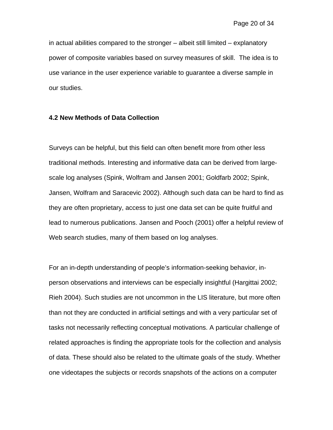in actual abilities compared to the stronger – albeit still limited – explanatory power of composite variables based on survey measures of skill. The idea is to use variance in the user experience variable to guarantee a diverse sample in our studies.

### **4.2 New Methods of Data Collection**

Surveys can be helpful, but this field can often benefit more from other less traditional methods. Interesting and informative data can be derived from largescale log analyses (Spink, Wolfram and Jansen 2001; Goldfarb 2002; Spink, Jansen, Wolfram and Saracevic 2002). Although such data can be hard to find as they are often proprietary, access to just one data set can be quite fruitful and lead to numerous publications. Jansen and Pooch (2001) offer a helpful review of Web search studies, many of them based on log analyses.

For an in-depth understanding of people's information-seeking behavior, inperson observations and interviews can be especially insightful (Hargittai 2002; Rieh 2004). Such studies are not uncommon in the LIS literature, but more often than not they are conducted in artificial settings and with a very particular set of tasks not necessarily reflecting conceptual motivations. A particular challenge of related approaches is finding the appropriate tools for the collection and analysis of data. These should also be related to the ultimate goals of the study. Whether one videotapes the subjects or records snapshots of the actions on a computer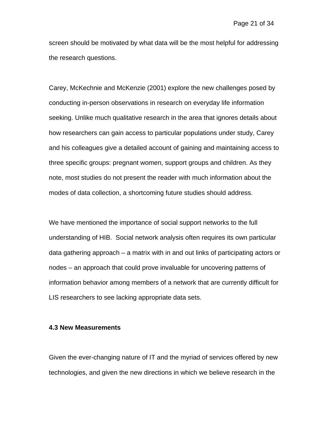screen should be motivated by what data will be the most helpful for addressing the research questions.

Carey, McKechnie and McKenzie (2001) explore the new challenges posed by conducting in-person observations in research on everyday life information seeking. Unlike much qualitative research in the area that ignores details about how researchers can gain access to particular populations under study, Carey and his colleagues give a detailed account of gaining and maintaining access to three specific groups: pregnant women, support groups and children. As they note, most studies do not present the reader with much information about the modes of data collection, a shortcoming future studies should address.

We have mentioned the importance of social support networks to the full understanding of HIB. Social network analysis often requires its own particular data gathering approach – a matrix with in and out links of participating actors or nodes – an approach that could prove invaluable for uncovering patterns of information behavior among members of a network that are currently difficult for LIS researchers to see lacking appropriate data sets.

#### **4.3 New Measurements**

Given the ever-changing nature of IT and the myriad of services offered by new technologies, and given the new directions in which we believe research in the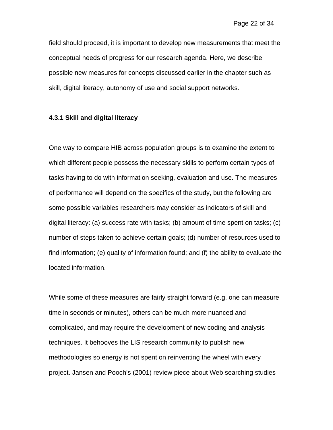field should proceed, it is important to develop new measurements that meet the conceptual needs of progress for our research agenda. Here, we describe possible new measures for concepts discussed earlier in the chapter such as skill, digital literacy, autonomy of use and social support networks.

#### **4.3.1 Skill and digital literacy**

One way to compare HIB across population groups is to examine the extent to which different people possess the necessary skills to perform certain types of tasks having to do with information seeking, evaluation and use. The measures of performance will depend on the specifics of the study, but the following are some possible variables researchers may consider as indicators of skill and digital literacy: (a) success rate with tasks; (b) amount of time spent on tasks; (c) number of steps taken to achieve certain goals; (d) number of resources used to find information; (e) quality of information found; and (f) the ability to evaluate the located information.

While some of these measures are fairly straight forward (e.g. one can measure time in seconds or minutes), others can be much more nuanced and complicated, and may require the development of new coding and analysis techniques. It behooves the LIS research community to publish new methodologies so energy is not spent on reinventing the wheel with every project. Jansen and Pooch's (2001) review piece about Web searching studies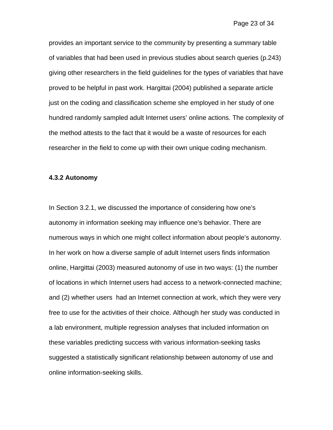provides an important service to the community by presenting a summary table of variables that had been used in previous studies about search queries (p.243) giving other researchers in the field guidelines for the types of variables that have proved to be helpful in past work. Hargittai (2004) published a separate article just on the coding and classification scheme she employed in her study of one hundred randomly sampled adult Internet users' online actions. The complexity of the method attests to the fact that it would be a waste of resources for each researcher in the field to come up with their own unique coding mechanism.

#### **4.3.2 Autonomy**

In Section 3.2.1, we discussed the importance of considering how one's autonomy in information seeking may influence one's behavior. There are numerous ways in which one might collect information about people's autonomy. In her work on how a diverse sample of adult Internet users finds information online, Hargittai (2003) measured autonomy of use in two ways: (1) the number of locations in which Internet users had access to a network-connected machine; and (2) whether users had an Internet connection at work, which they were very free to use for the activities of their choice. Although her study was conducted in a lab environment, multiple regression analyses that included information on these variables predicting success with various information-seeking tasks suggested a statistically significant relationship between autonomy of use and online information-seeking skills.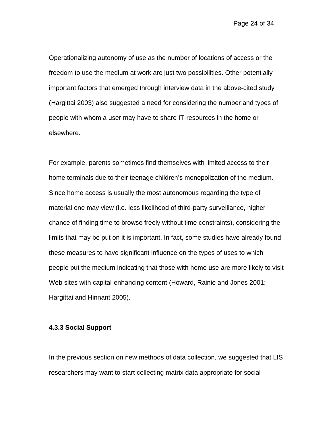Page 24 of 34

Operationalizing autonomy of use as the number of locations of access or the freedom to use the medium at work are just two possibilities. Other potentially important factors that emerged through interview data in the above-cited study (Hargittai 2003) also suggested a need for considering the number and types of people with whom a user may have to share IT-resources in the home or elsewhere.

For example, parents sometimes find themselves with limited access to their home terminals due to their teenage children's monopolization of the medium. Since home access is usually the most autonomous regarding the type of material one may view (i.e. less likelihood of third-party surveillance, higher chance of finding time to browse freely without time constraints), considering the limits that may be put on it is important. In fact, some studies have already found these measures to have significant influence on the types of uses to which people put the medium indicating that those with home use are more likely to visit Web sites with capital-enhancing content (Howard, Rainie and Jones 2001; Hargittai and Hinnant 2005).

### **4.3.3 Social Support**

In the previous section on new methods of data collection, we suggested that LIS researchers may want to start collecting matrix data appropriate for social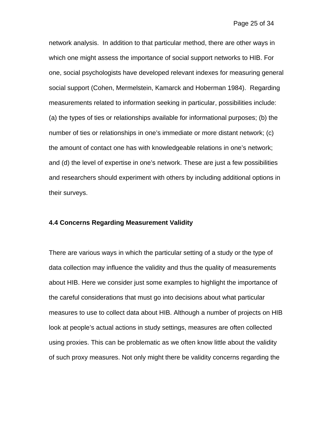network analysis. In addition to that particular method, there are other ways in which one might assess the importance of social support networks to HIB. For one, social psychologists have developed relevant indexes for measuring general social support (Cohen, Mermelstein, Kamarck and Hoberman 1984). Regarding measurements related to information seeking in particular, possibilities include: (a) the types of ties or relationships available for informational purposes; (b) the number of ties or relationships in one's immediate or more distant network; (c) the amount of contact one has with knowledgeable relations in one's network; and (d) the level of expertise in one's network. These are just a few possibilities and researchers should experiment with others by including additional options in their surveys.

#### **4.4 Concerns Regarding Measurement Validity**

There are various ways in which the particular setting of a study or the type of data collection may influence the validity and thus the quality of measurements about HIB. Here we consider just some examples to highlight the importance of the careful considerations that must go into decisions about what particular measures to use to collect data about HIB. Although a number of projects on HIB look at people's actual actions in study settings, measures are often collected using proxies. This can be problematic as we often know little about the validity of such proxy measures. Not only might there be validity concerns regarding the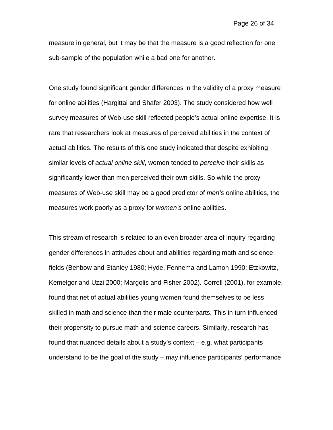measure in general, but it may be that the measure is a good reflection for one sub-sample of the population while a bad one for another.

One study found significant gender differences in the validity of a proxy measure for online abilities (Hargittai and Shafer 2003). The study considered how well survey measures of Web-use skill reflected people's actual online expertise. It is rare that researchers look at measures of perceived abilities in the context of actual abilities. The results of this one study indicated that despite exhibiting similar levels of *actual online skill*, women tended to *perceive* their skills as significantly lower than men perceived their own skills. So while the proxy measures of Web-use skill may be a good predictor of *men's* online abilities, the measures work poorly as a proxy for *women's* online abilities.

This stream of research is related to an even broader area of inquiry regarding gender differences in attitudes about and abilities regarding math and science fields (Benbow and Stanley 1980; Hyde, Fennema and Lamon 1990; Etzkowitz, Kemelgor and Uzzi 2000; Margolis and Fisher 2002). Correll (2001), for example, found that net of actual abilities young women found themselves to be less skilled in math and science than their male counterparts. This in turn influenced their propensity to pursue math and science careers. Similarly, research has found that nuanced details about a study's context – e.g. what participants understand to be the goal of the study – may influence participants' performance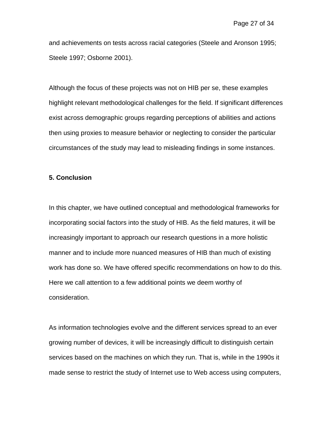and achievements on tests across racial categories (Steele and Aronson 1995; Steele 1997; Osborne 2001).

Although the focus of these projects was not on HIB per se, these examples highlight relevant methodological challenges for the field. If significant differences exist across demographic groups regarding perceptions of abilities and actions then using proxies to measure behavior or neglecting to consider the particular circumstances of the study may lead to misleading findings in some instances.

## **5. Conclusion**

In this chapter, we have outlined conceptual and methodological frameworks for incorporating social factors into the study of HIB. As the field matures, it will be increasingly important to approach our research questions in a more holistic manner and to include more nuanced measures of HIB than much of existing work has done so. We have offered specific recommendations on how to do this. Here we call attention to a few additional points we deem worthy of consideration.

As information technologies evolve and the different services spread to an ever growing number of devices, it will be increasingly difficult to distinguish certain services based on the machines on which they run. That is, while in the 1990s it made sense to restrict the study of Internet use to Web access using computers,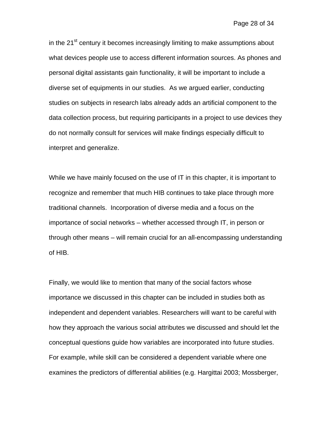in the 21<sup>st</sup> century it becomes increasingly limiting to make assumptions about what devices people use to access different information sources. As phones and personal digital assistants gain functionality, it will be important to include a diverse set of equipments in our studies. As we argued earlier, conducting studies on subjects in research labs already adds an artificial component to the data collection process, but requiring participants in a project to use devices they do not normally consult for services will make findings especially difficult to interpret and generalize.

While we have mainly focused on the use of IT in this chapter, it is important to recognize and remember that much HIB continues to take place through more traditional channels. Incorporation of diverse media and a focus on the importance of social networks – whether accessed through IT, in person or through other means – will remain crucial for an all-encompassing understanding of HIB.

Finally, we would like to mention that many of the social factors whose importance we discussed in this chapter can be included in studies both as independent and dependent variables. Researchers will want to be careful with how they approach the various social attributes we discussed and should let the conceptual questions guide how variables are incorporated into future studies. For example, while skill can be considered a dependent variable where one examines the predictors of differential abilities (e.g. Hargittai 2003; Mossberger,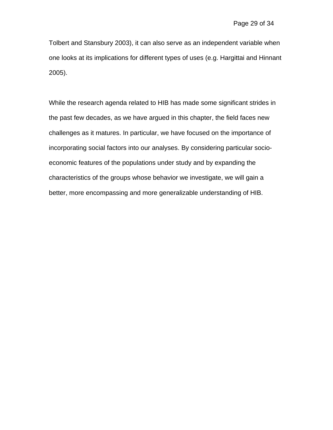Tolbert and Stansbury 2003), it can also serve as an independent variable when one looks at its implications for different types of uses (e.g. Hargittai and Hinnant 2005).

While the research agenda related to HIB has made some significant strides in the past few decades, as we have argued in this chapter, the field faces new challenges as it matures. In particular, we have focused on the importance of incorporating social factors into our analyses. By considering particular socioeconomic features of the populations under study and by expanding the characteristics of the groups whose behavior we investigate, we will gain a better, more encompassing and more generalizable understanding of HIB.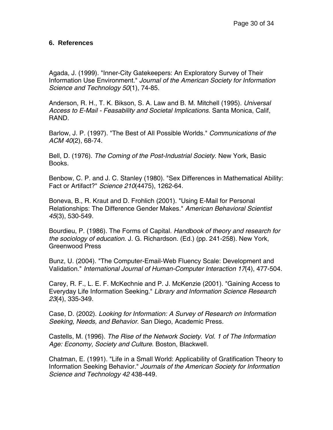## **6. References**

Agada, J. (1999). "Inner-City Gatekeepers: An Exploratory Survey of Their Information Use Environment." *Journal of the American Society for Information Science and Technology 50*(1), 74-85.

Anderson, R. H., T. K. Bikson, S. A. Law and B. M. Mitchell (1995). *Universal Access to E-Mail - Feasability and Societal Implications*. Santa Monica, Calif, RAND.

Barlow, J. P. (1997). "The Best of All Possible Worlds." *Communications of the ACM 40*(2), 68-74.

Bell, D. (1976). *The Coming of the Post-Industrial Society*. New York, Basic Books.

Benbow, C. P. and J. C. Stanley (1980). "Sex Differences in Mathematical Ability: Fact or Artifact?" *Science 210*(4475), 1262-64.

Boneva, B., R. Kraut and D. Frohlich (2001). "Using E-Mail for Personal Relationships: The Difference Gender Makes." *American Behavioral Scientist 45*(3), 530-549.

Bourdieu, P. (1986). The Forms of Capital. *Handbook of theory and research for the sociology of education*. J. G. Richardson. (Ed.) (pp. 241-258). New York, Greenwood Press

Bunz, U. (2004). "The Computer-Email-Web Fluency Scale: Development and Validation." *International Journal of Human-Computer Interaction 17*(4), 477-504.

Carey, R. F., L. E. F. McKechnie and P. J. McKenzie (2001). "Gaining Access to Everyday Life Information Seeking." *Library and Information Science Research 23*(4), 335-349.

Case, D. (2002). *Looking for Information: A Survey of Research on Information Seeking, Needs, and Behavior*. San Diego, Academic Press.

Castells, M. (1996). *The Rise of the Network Society. Vol. 1 of The Information Age: Economy, Society and Culture*. Boston, Blackwell.

Chatman, E. (1991). "Life in a Small World: Applicability of Gratification Theory to Information Seeking Behavior." *Journals of the American Society for Information Science and Technology 42* 438-449.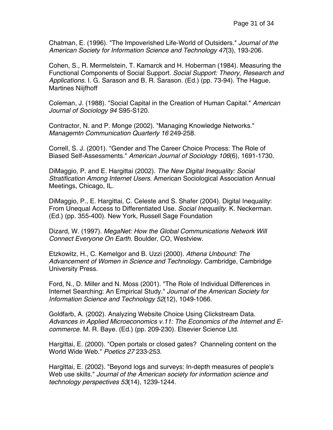Chatman, E. (1996). "The Impoverished Life-World of Outsiders." *Journal of the American Society for Information Science and Technology 47*(3), 193-206.

Cohen, S., R. Mermelstein, T. Kamarck and H. Hoberman (1984). Measuring the Functional Components of Social Support. *Social Support: Theory, Research and Applications*. I. G. Sarason and B. R. Sarason. (Ed.) (pp. 73-94). The Hague, Martines Niijfhoff

Coleman, J. (1988). "Social Capital in the Creation of Human Capital." *American Journal of Sociology 94* S95-S120.

Contractor, N. and P. Monge (2002). "Managing Knowledge Networks." *Managemtn Communication Quarterly 16* 249-258.

Correll, S. J. (2001). "Gender and The Career Choice Process: The Role of Biased Self-Assessments." *American Journal of Sociology 106*(6), 1691-1730.

DiMaggio, P. and E. Hargittai (2002). *The New Digital Inequality: Social Stratification Among Internet Users*. American Sociological Association Annual Meetings, Chicago, IL.

DiMaggio, P., E. Hargittai, C. Celeste and S. Shafer (2004). Digital Inequality: From Unequal Access to Differentiated Use. *Social Inequality*. K. Neckerman. (Ed.) (pp. 355-400). New York, Russell Sage Foundation

Dizard, W. (1997). *MegaNet: How the Global Communications Network Will Connect Everyone On Earth*. Boulder, CO, Westview.

Etzkowitz, H., C. Kemelgor and B. Uzzi (2000). *Athena Unbound: The Advancement of Women in Science and Technology*. Cambridge, Cambridge University Press.

Ford, N., D. Miller and N. Moss (2001). "The Role of Individual Differences in Internet Searching: An Empirical Study." *Journal of the American Society for Information Science and Technology 52*(12), 1049-1066.

Goldfarb, A. (2002). Analyzing Website Choice Using Clickstream Data. *Advances in Applied Microeconomics v.11: The Economics of the Internet and Ecommerce*. M. R. Baye. (Ed.) (pp. 209-230). Elsevier Science Ltd.

Hargittai, E. (2000). "Open portals or closed gates? Channeling content on the World Wide Web." *Poetics 27* 233-253.

Hargittai, E. (2002). "Beyond logs and surveys: In-depth measures of people's Web use skills." *Journal of the American society for information science and technology perspectives 53*(14), 1239-1244.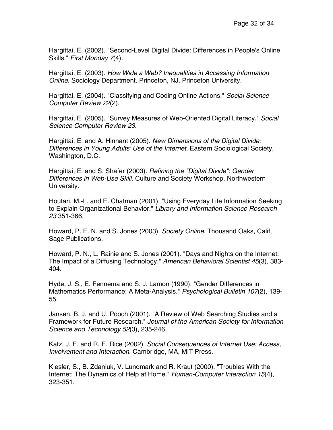Hargittai, E. (2002). "Second-Level Digital Divide: Differences in People's Online Skills." *First Monday 7*(4).

Hargittai, E. (2003). *How Wide a Web? Inequalities in Accessing Information Online*. Sociology Department. Princeton, NJ, Princeton University.

Hargittai, E. (2004). "Classifying and Coding Online Actions." *Social Science Computer Review 22*(2).

Hargittai, E. (2005). "Survey Measures of Web-Oriented Digital Literacy." *Social Science Computer Review 23*.

Hargittai, E. and A. Hinnant (2005). *New Dimensions of the Digital Divide: Differences in Young Adults' Use of the Internet*. Eastern Sociological Society, Washington, D.C.

Hargittai, E. and S. Shafer (2003). *Refining the "Digital Divide": Gender Differences in Web-Use Skill*. Culture and Society Workshop, Northwestern University.

Houtari, M.-L. and E. Chatman (2001). "Using Everyday Life Information Seeking to Explain Organizational Behavior." *Library and Information Science Research 23* 351-366.

Howard, P. E. N. and S. Jones (2003). *Society Online*. Thousand Oaks, Calif, Sage Publications.

Howard, P. N., L. Rainie and S. Jones (2001). "Days and Nights on the Internet: The Impact of a Diffusing Technology." *American Behavioral Scientist 45*(3), 383- 404.

Hyde, J. S., E. Fennema and S. J. Lamon (1990). "Gender Differences in Mathematics Performance: A Meta-Analysis." *Psychological Bulletin 107*(2), 139- 55.

Jansen, B. J. and U. Pooch (2001). "A Review of Web Searching Studies and a Framework for Future Research." *Journal of the American Society for Information Science and Technology 52*(3), 235-246.

Katz, J. E. and R. E. Rice (2002). *Social Consequences of Internet Use: Access, Involvement and Interaction*. Cambridge, MA, MIT Press.

Kiesler, S., B. Zdaniuk, V. Lundmark and R. Kraut (2000). "Troubles With the Internet: The Dynamics of Help at Home." *Human-Computer Interaction 15*(4), 323-351.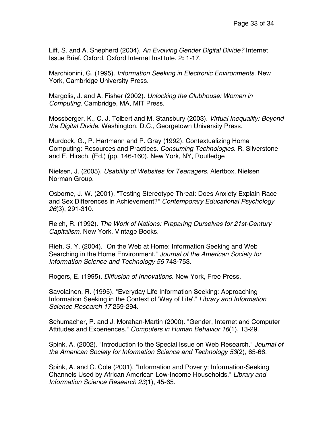Liff, S. and A. Shepherd (2004). *An Evolving Gender Digital Divide?* Internet Issue Brief. Oxford, Oxford Internet Institute. 2**:** 1-17.

Marchionini, G. (1995). *Information Seeking in Electronic Environments*. New York, Cambridge University Press.

Margolis, J. and A. Fisher (2002). *Unlocking the Clubhouse: Women in Computing*. Cambridge, MA, MIT Press.

Mossberger, K., C. J. Tolbert and M. Stansbury (2003). *Virtual Inequality: Beyond the Digital Divide*. Washington, D.C., Georgetown University Press.

Murdock, G., P. Hartmann and P. Gray (1992). Contextualizing Home Computing: Resources and Practices. *Consuming Technologies*. R. Silverstone and E. Hirsch. (Ed.) (pp. 146-160). New York, NY, Routledge

Nielsen, J. (2005). *Usability of Websites for Teenagers*. Alertbox, Nielsen Norman Group.

Osborne, J. W. (2001). "Testing Stereotype Threat: Does Anxiety Explain Race and Sex Differences in Achievement?" *Contemporary Educational Psychology 26*(3), 291-310.

Reich, R. (1992). *The Work of Nations: Preparing Ourselves for 21st-Century Capitalism*. New York, Vintage Books.

Rieh, S. Y. (2004). "On the Web at Home: Information Seeking and Web Searching in the Home Environment." *Journal of the American Society for Information Science and Technology 55* 743-753.

Rogers, E. (1995). *Diffusion of Innovations*. New York, Free Press.

Savolainen, R. (1995). "Everyday Life Information Seeking: Approaching Information Seeking in the Context of 'Way of Life'." *Library and Information Science Research 17* 259-294.

Schumacher, P. and J. Morahan-Martin (2000). "Gender, Internet and Computer Attitudes and Experiences." *Computers in Human Behavior 16*(1), 13-29.

Spink, A. (2002). "Introduction to the Special Issue on Web Research." *Journal of the American Society for Information Science and Technology 53*(2), 65-66.

Spink, A. and C. Cole (2001). "Information and Poverty: Information-Seeking Channels Used by African American Low-Income Households." *Library and Information Science Research 23*(1), 45-65.